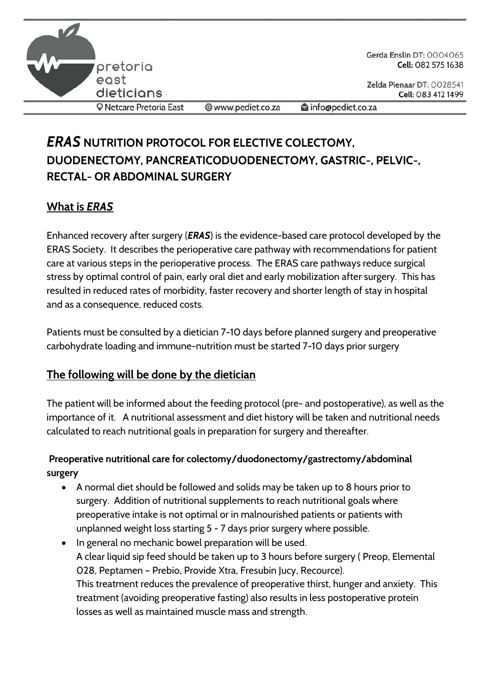

Gerda Enslin DT: 0004065 Cell: 082 575 1638

Zelda Pienaar DT: 0028541 Cell: 083 412 1499

**Q** Netcare Pretoria East

www.pediet.co.za

info@pediet.co.za

# *ERAS* **NUTRITION PROTOCOL FOR ELECTIVE COLECTOMY, DUODENECTOMY, PANCREATICODUODENECTOMY, GASTRIC-, PELVIC-, RECTAL- OR ABDOMINAL SURGERY**

## **What is** *ERAS*

Enhanced recovery after surgery (*ERAS*) is the evidence-based care protocol developed by the ERAS Society. It describes the perioperative care pathway with recommendations for patient care at various steps in the perioperative process. The ERAS care pathways reduce surgical stress by optimal control of pain, early oral diet and early mobilization after surgery. This has resulted in reduced rates of morbidity, faster recovery and shorter length of stay in hospital and as a consequence, reduced costs.

Patients must be consulted by a dietician 7-10 days before planned surgery and preoperative carbohydrate loading and immune-nutrition must be started 7-10 days prior surgery

### **The following will be done by the dietician**

The patient will be informed about the feeding protocol (pre- and postoperative), as well as the importance of it. A nutritional assessment and diet history will be taken and nutritional needs calculated to reach nutritional goals in preparation for surgery and thereafter.

#### **Preoperative nutritional care for colectomy/duodonectomy/gastrectomy/abdominal surgery**

- A normal diet should be followed and solids may be taken up to 8 hours prior to surgery. Addition of nutritional supplements to reach nutritional goals where preoperative intake is not optimal or in malnourished patients or patients with unplanned weight loss starting 5 - 7 days prior surgery where possible.
- In general no mechanic bowel preparation will be used. A clear liquid sip feed should be taken up to 3 hours before surgery ( Preop, Elemental 028, Peptamen – Prebio, Provide Xtra, Fresubin Jucy, Recource). This treatment reduces the prevalence of preoperative thirst, hunger and anxiety. This treatment (avoiding preoperative fasting) also results in less postoperative protein losses as well as maintained muscle mass and strength.